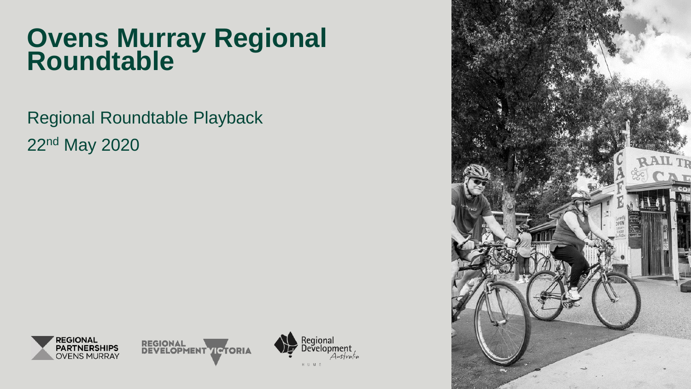# **Ovens Murray Regional Roundtable**

Regional Roundtable Playback 22nd May 2020



**REGIONAL DEVELOPMENT VICTORIA** 



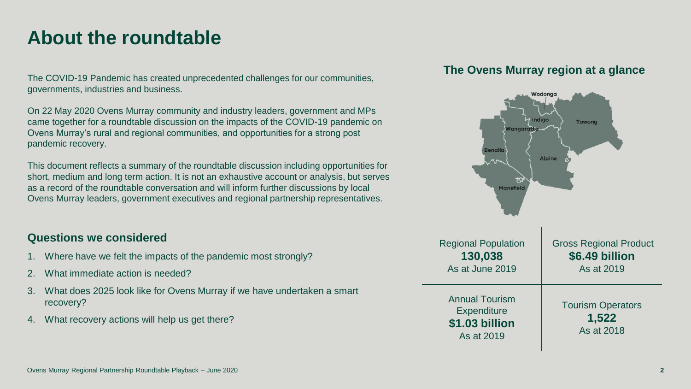### **About the roundtable**

The COVID-19 Pandemic has created unprecedented challenges for our communities, governments, industries and business.

On 22 May 2020 Ovens Murray community and industry leaders, government and MPs came together for a roundtable discussion on the impacts of the COVID-19 pandemic on Ovens Murray's rural and regional communities, and opportunities for a strong post pandemic recovery.

This document reflects a summary of the roundtable discussion including opportunities for short, medium and long term action. It is not an exhaustive account or analysis, but serves as a record of the roundtable conversation and will inform further discussions by local Ovens Murray leaders, government executives and regional partnership representatives.

### **Questions we considered**

- 1. Where have we felt the impacts of the pandemic most strongly?
- 2. What immediate action is needed?
- 3. What does 2025 look like for Ovens Murray if we have undertaken a smart recovery?
- 4. What recovery actions will help us get there?

### **The Ovens Murray region at a glance**

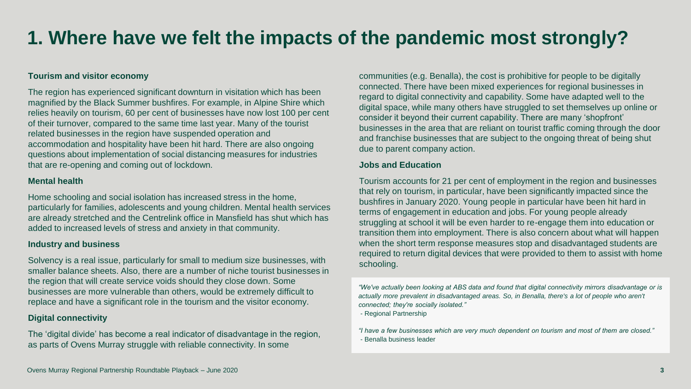## **1. Where have we felt the impacts of the pandemic most strongly?**

#### **Tourism and visitor economy**

The region has experienced significant downturn in visitation which has been magnified by the Black Summer bushfires. For example, in Alpine Shire which relies heavily on tourism, 60 per cent of businesses have now lost 100 per cent of their turnover, compared to the same time last year. Many of the tourist related businesses in the region have suspended operation and accommodation and hospitality have been hit hard. There are also ongoing questions about implementation of social distancing measures for industries that are re-opening and coming out of lockdown.

#### **Mental health**

Home schooling and social isolation has increased stress in the home, particularly for families, adolescents and young children. Mental health services are already stretched and the Centrelink office in Mansfield has shut which has added to increased levels of stress and anxiety in that community.

#### **Industry and business**

Solvency is a real issue, particularly for small to medium size businesses, with smaller balance sheets. Also, there are a number of niche tourist businesses in the region that will create service voids should they close down. Some businesses are more vulnerable than others, would be extremely difficult to replace and have a significant role in the tourism and the visitor economy.

#### **Digital connectivity**

The 'digital divide' has become a real indicator of disadvantage in the region, as parts of Ovens Murray struggle with reliable connectivity. In some

communities (e.g. Benalla), the cost is prohibitive for people to be digitally connected. There have been mixed experiences for regional businesses in regard to digital connectivity and capability. Some have adapted well to the digital space, while many others have struggled to set themselves up online or consider it beyond their current capability. There are many 'shopfront' businesses in the area that are reliant on tourist traffic coming through the door and franchise businesses that are subject to the ongoing threat of being shut due to parent company action.

#### **Jobs and Education**

Tourism accounts for 21 per cent of employment in the region and businesses that rely on tourism, in particular, have been significantly impacted since the bushfires in January 2020. Young people in particular have been hit hard in terms of engagement in education and jobs. For young people already struggling at school it will be even harder to re-engage them into education or transition them into employment. There is also concern about what will happen when the short term response measures stop and disadvantaged students are required to return digital devices that were provided to them to assist with home schooling.

*"We've actually been looking at ABS data and found that digital connectivity mirrors disadvantage or is*  actually more prevalent in disadvantaged areas. So, in Benalla, there's a lot of people who aren't *connected; they're socially isolated."* 

- Regional Partnership

*"I have a few businesses which are very much dependent on tourism and most of them are closed."* - Benalla business leader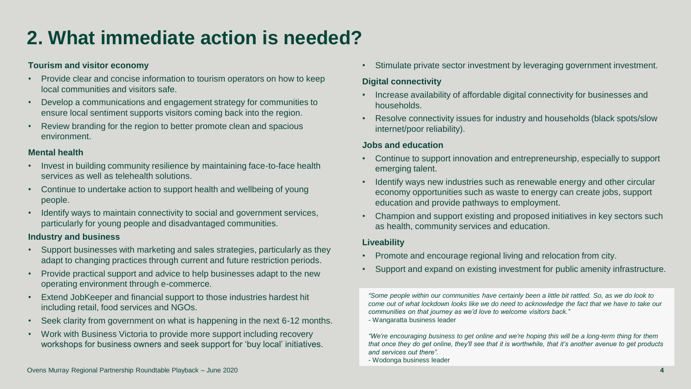## **2. What immediate action is needed?**

### **Tourism and visitor economy**

- Provide clear and concise information to tourism operators on how to keep local communities and visitors safe.
- Develop a communications and engagement strategy for communities to ensure local sentiment supports visitors coming back into the region.
- Review branding for the region to better promote clean and spacious environment.

### **Mental health**

- Invest in building community resilience by maintaining face-to-face health services as well as telehealth solutions.
- Continue to undertake action to support health and wellbeing of young people.
- Identify ways to maintain connectivity to social and government services, particularly for young people and disadvantaged communities.

### **Industry and business**

- Support businesses with marketing and sales strategies, particularly as they adapt to changing practices through current and future restriction periods.
- Provide practical support and advice to help businesses adapt to the new operating environment through e-commerce.
- Extend JobKeeper and financial support to those industries hardest hit including retail, food services and NGOs.
- Seek clarity from government on what is happening in the next 6-12 months.
- Work with Business Victoria to provide more support including recovery workshops for business owners and seek support for 'buy local' initiatives.

• Stimulate private sector investment by leveraging government investment.

### **Digital connectivity**

- Increase availability of affordable digital connectivity for businesses and households.
- Resolve connectivity issues for industry and households (black spots/slow internet/poor reliability).

### **Jobs and education**

- Continue to support innovation and entrepreneurship, especially to support emerging talent.
- Identify ways new industries such as renewable energy and other circular economy opportunities such as waste to energy can create jobs, support education and provide pathways to employment.
- Champion and support existing and proposed initiatives in key sectors such as health, community services and education.

### **Liveability**

- Promote and encourage regional living and relocation from city.
- Support and expand on existing investment for public amenity infrastructure.

*"Some people within our communities have certainly been a little bit rattled. So, as we do look to come out of what lockdown looks like we do need to acknowledge the fact that we have to take our communities on that journey as we'd love to welcome visitors back."*

- Wangaratta business leader

*"We're encouraging business to get online and we're hoping this will be a long-term thing for them that once they do get online, they'll see that it is worthwhile, that it's another avenue to get products and services out there".* 

- Wodonga business leader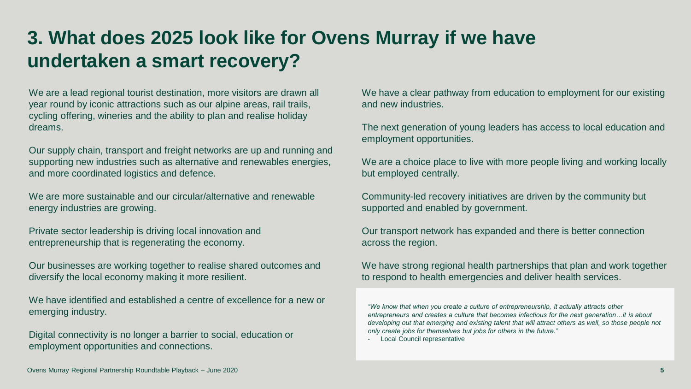### **3. What does 2025 look like for Ovens Murray if we have undertaken a smart recovery?**

We are a lead regional tourist destination, more visitors are drawn all year round by iconic attractions such as our alpine areas, rail trails, cycling offering, wineries and the ability to plan and realise holiday dreams.

Our supply chain, transport and freight networks are up and running and supporting new industries such as alternative and renewables energies, and more coordinated logistics and defence.

We are more sustainable and our circular/alternative and renewable energy industries are growing.

Private sector leadership is driving local innovation and entrepreneurship that is regenerating the economy.

Our businesses are working together to realise shared outcomes and diversify the local economy making it more resilient.

We have identified and established a centre of excellence for a new or emerging industry.

Digital connectivity is no longer a barrier to social, education or employment opportunities and connections.

We have a clear pathway from education to employment for our existing and new industries.

The next generation of young leaders has access to local education and employment opportunities.

We are a choice place to live with more people living and working locally but employed centrally.

Community-led recovery initiatives are driven by the community but supported and enabled by government.

Our transport network has expanded and there is better connection across the region.

We have strong regional health partnerships that plan and work together to respond to health emergencies and deliver health services.

*"We know that when you create a culture of entrepreneurship, it actually attracts other entrepreneurs and creates a culture that becomes infectious for the next generation…it is about developing out that emerging and existing talent that will attract others as well, so those people not only create jobs for themselves but jobs for others in the future."*

- Local Council representative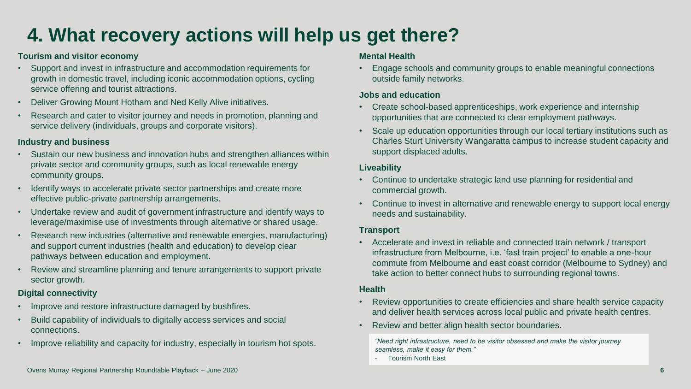## **4. What recovery actions will help us get there?**

### **Tourism and visitor economy**

- Support and invest in infrastructure and accommodation requirements for growth in domestic travel, including iconic accommodation options, cycling service offering and tourist attractions.
- Deliver Growing Mount Hotham and Ned Kelly Alive initiatives.
- Research and cater to visitor journey and needs in promotion, planning and service delivery (individuals, groups and corporate visitors).

### **Industry and business**

- Sustain our new business and innovation hubs and strengthen alliances within private sector and community groups, such as local renewable energy community groups.
- Identify ways to accelerate private sector partnerships and create more effective public-private partnership arrangements.
- Undertake review and audit of government infrastructure and identify ways to leverage/maximise use of investments through alternative or shared usage.
- Research new industries (alternative and renewable energies, manufacturing) and support current industries (health and education) to develop clear pathways between education and employment.
- Review and streamline planning and tenure arrangements to support private sector growth.

### **Digital connectivity**

- Improve and restore infrastructure damaged by bushfires.
- Build capability of individuals to digitally access services and social connections.
- Improve reliability and capacity for industry, especially in tourism hot spots.

#### **Mental Health**

• Engage schools and community groups to enable meaningful connections outside family networks.

### **Jobs and education**

- Create school-based apprenticeships, work experience and internship opportunities that are connected to clear employment pathways.
- Scale up education opportunities through our local tertiary institutions such as Charles Sturt University Wangaratta campus to increase student capacity and support displaced adults.

### **Liveability**

- Continue to undertake strategic land use planning for residential and commercial growth.
- Continue to invest in alternative and renewable energy to support local energy needs and sustainability.

### **Transport**

• Accelerate and invest in reliable and connected train network / transport infrastructure from Melbourne, i.e. 'fast train project' to enable a one-hour commute from Melbourne and east coast corridor (Melbourne to Sydney) and take action to better connect hubs to surrounding regional towns.

### **Health**

- Review opportunities to create efficiencies and share health service capacity and deliver health services across local public and private health centres.
- Review and better align health sector boundaries.

*"Need right infrastructure, need to be visitor obsessed and make the visitor journey seamless, make it easy for them."*

- Tourism North East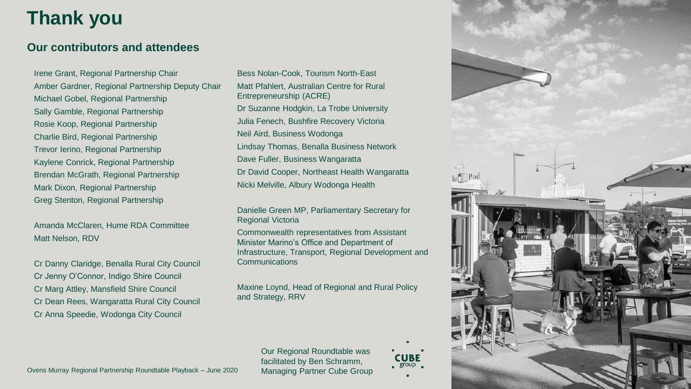## **Thank you**

### **Our contributors and attendees**

Irene Grant, Regional Partnership Chair Amber Gardner, Regional Partnership Deputy Chair Michael Gobel, Regional Partnership Sally Gamble, Regional Partnership Rosie Koop, Regional Partnership Charlie Bird, Regional Partnership Trevor Ierino, Regional Partnership Kaylene Conrick, Regional Partnership Brendan McGrath, Regional Partnership Mark Dixon, Regional Partnership Greg Stenton, Regional Partnership

Amanda McClaren, Hume RDA Committee Matt Nelson, RDV

Cr Danny Claridge, Benalla Rural City Council Cr Jenny O'Connor, Indigo Shire Council Cr Marg Attley, Mansfield Shire Council Cr Dean Rees, Wangaratta Rural City Council Cr Anna Speedie, Wodonga City Council

Bess Nolan -Cook, Tourism North -East Matt Pfahlert, Australian Centre for Rural Entrepreneurship (ACRE) Dr Suzanne Hodgkin, La Trobe University Julia Fenech, Bushfire Recovery Victoria Neil Aird, Business Wodonga Lindsay Thomas, Benalla Business Network Dave Fuller, Business Wangaratta Dr David Cooper, Northeast Health Wangaratta Nicki Melville, Albury Wodonga Health

Danielle Green MP, Parliamentary Secretary for Regional Victoria

Commonwealth representatives from Assistant Minister Marino's Office and Department of Infrastructure, Transport, Regional Development and **Communications** 

Maxine Loynd, Head of Regional and Rural Policy and Strategy, RRV

> Our Regional Roundtable was facilitated by Ben Schramm, Managing Partner Cube Group

**CUBE** , group